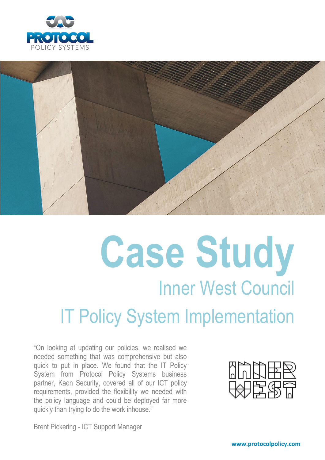



# **Case Study** Inner West Council IT Policy System Implementation

"On looking at updating our policies, we realised we needed something that was comprehensive but also quick to put in place. We found that the IT Policy System from Protocol Policy Systems business partner, Kaon Security, covered all of our ICT policy requirements, provided the flexibility we needed with the policy language and could be deployed far more quickly than trying to do the work inhouse."

Brent Pickering - ICT Support Manager